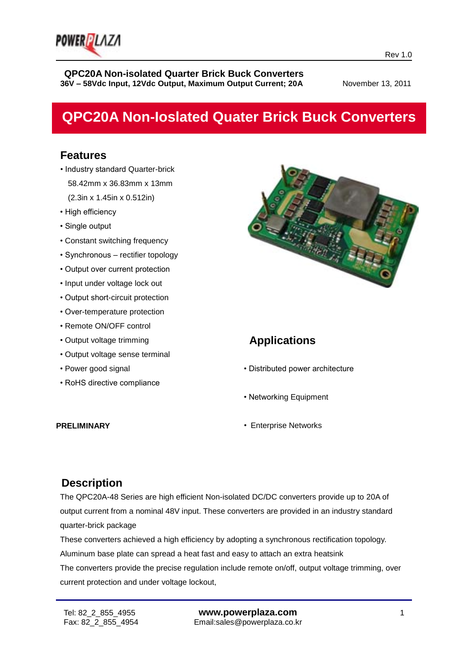

# **QPC20A Non-Ioslated Quater Brick Buck Converters**

# **Features**

- Industry standard Quarter-brick 58.42mm x 36.83mm x 13mm (2.3in x 1.45in x 0.512in)
- High efficiency
- Single output
- Constant switching frequency
- Synchronous rectifier topology
- Output over current protection
- Input under voltage lock out
- Output short-circuit protection
- Over-temperature protection
- Remote ON/OFF control
- Output voltage trimming
- Output voltage sense terminal
- Power good signal
- RoHS directive compliance



# **Applications**

- Distributed power architecture
- Networking Equipment
- Enterprise Networks

**PRELIMINARY** 

### **Description**

The QPC20A-48 Series are high efficient Non-isolated DC/DC converters provide up to 20A of output current from a nominal 48V input. These converters are provided in an industry standard quarter-brick package

These converters achieved a high efficiency by adopting a synchronous rectification topology. Aluminum base plate can spread a heat fast and easy to attach an extra heatsink

The converters provide the precise regulation include remote on/off, output voltage trimming, over current protection and under voltage lockout,

ī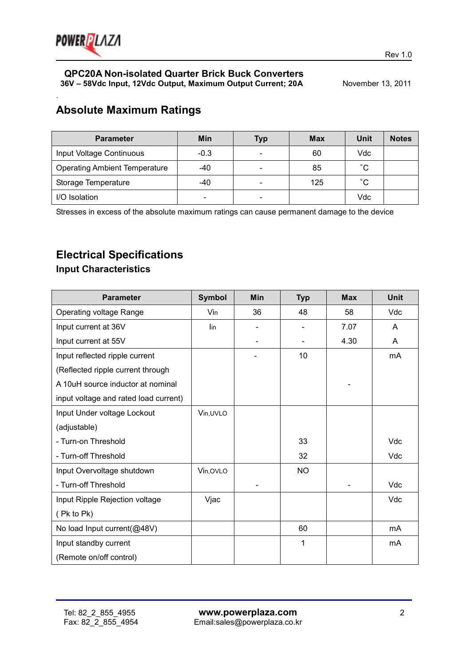

.

#### **QPC20A Non-isolated Quarter Brick Buck Converters 36V - 58Vdc Input, 12Vdc Output, Maximum Output Current; 20A** November 13, 2011

# **Absolute Maximum Ratings**

| <b>Parameter</b>                     | Min    | <b>Typ</b>               | <b>Max</b> | Unit         | <b>Notes</b> |
|--------------------------------------|--------|--------------------------|------------|--------------|--------------|
| Input Voltage Continuous             | $-0.3$ | $\overline{\phantom{0}}$ | 60         | Vdc          |              |
| <b>Operating Ambient Temperature</b> | $-40$  | $\overline{\phantom{0}}$ | 85         | $^{\circ}$ C |              |
| Storage Temperature                  | -40    | -                        | 125        | $^{\circ}$ C |              |
| I/O Isolation                        | -      | $\overline{\phantom{0}}$ |            | Vdc          |              |

Stresses in excess of the absolute maximum ratings can cause permanent damage to the device

# **Electrical Specifications**

#### **Input Characteristics**

| <b>Parameter</b>                      | <b>Symbol</b> | <b>Min</b> | <b>Typ</b> | <b>Max</b> | <b>Unit</b> |
|---------------------------------------|---------------|------------|------------|------------|-------------|
| Operating voltage Range               | Vin           | 36         | 48         | 58         | Vdc         |
| Input current at 36V                  | lin           |            |            | 7.07       | A           |
| Input current at 55V                  |               |            |            | 4.30       | A           |
| Input reflected ripple current        |               |            | 10         |            | mA          |
| (Reflected ripple current through     |               |            |            |            |             |
| A 10uH source inductor at nominal     |               |            |            |            |             |
| input voltage and rated load current) |               |            |            |            |             |
| Input Under voltage Lockout           | Vin, UVLO     |            |            |            |             |
| (adjustable)                          |               |            |            |            |             |
| - Turn-on Threshold                   |               |            | 33         |            | Vdc         |
| - Turn-off Threshold                  |               |            | 32         |            | Vdc         |
| Input Overvoltage shutdown            | Vin, OVLO     |            | <b>NO</b>  |            |             |
| - Turn-off Threshold                  |               |            |            |            | Vdc         |
| Input Ripple Rejection voltage        | Vjac          |            |            |            | Vdc         |
| (Pk to Pk)                            |               |            |            |            |             |
| No load Input current(@48V)           |               |            | 60         |            | mA          |
| Input standby current                 |               |            | 1          |            | mA          |
| (Remote on/off control)               |               |            |            |            |             |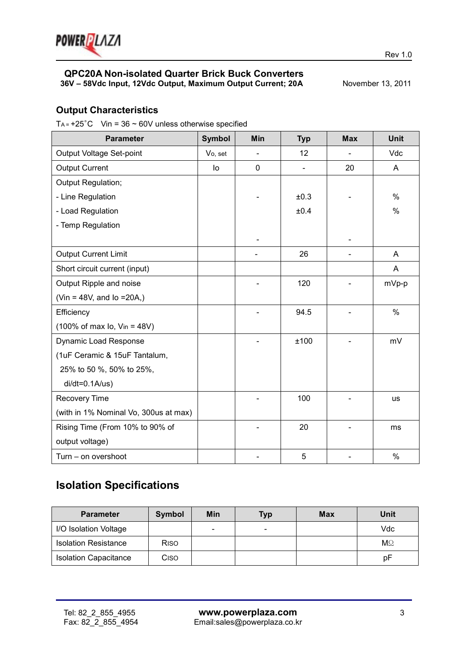

## **Output Characteristics**

T<sub>A</sub> =  $+25^{\circ}$ C Vin = 36  $\sim$  60V unless otherwise specified

| <b>Parameter</b>                                    | <b>Symbol</b> | Min         | <b>Typ</b>               | <b>Max</b>     | <b>Unit</b> |
|-----------------------------------------------------|---------------|-------------|--------------------------|----------------|-------------|
| Output Voltage Set-point                            | Vo, set       |             | 12                       |                | Vdc         |
| <b>Output Current</b>                               | lo            | $\mathbf 0$ | $\overline{\phantom{0}}$ | 20             | A           |
| Output Regulation;                                  |               |             |                          |                |             |
| - Line Regulation                                   |               |             | ±0.3                     |                | $\%$        |
| - Load Regulation                                   |               |             | ±0.4                     |                | %           |
| - Temp Regulation                                   |               |             |                          |                |             |
|                                                     |               |             |                          |                |             |
| <b>Output Current Limit</b>                         |               |             | 26                       | $\blacksquare$ | A           |
| Short circuit current (input)                       |               |             |                          |                | A           |
| Output Ripple and noise                             |               |             | 120                      |                | mVp-p       |
| (Vin = 48V, and $lo = 20A$ .)                       |               |             |                          |                |             |
| Efficiency                                          |               |             | 94.5                     |                | $\%$        |
| $(100\% \text{ of max } I_0, \text{ V}_{in} = 48V)$ |               |             |                          |                |             |
| <b>Dynamic Load Response</b>                        |               |             | ±100                     |                | mV          |
| (1uF Ceramic & 15uF Tantalum,                       |               |             |                          |                |             |
| 25% to 50 %, 50% to 25%,                            |               |             |                          |                |             |
| $di/dt = 0.1A/us)$                                  |               |             |                          |                |             |
| Recovery Time                                       |               |             | 100                      |                | us          |
| (with in 1% Nominal Vo, 300us at max)               |               |             |                          |                |             |
| Rising Time (From 10% to 90% of                     |               |             | 20                       |                | ms          |
| output voltage)                                     |               |             |                          |                |             |
| Turn - on overshoot                                 |               |             | 5                        |                | $\%$        |

# **Isolation Specifications**

| <b>Parameter</b>             | Symbol      | Min    | <b>Typ</b>               | <b>Max</b> | Unit      |
|------------------------------|-------------|--------|--------------------------|------------|-----------|
| I/O Isolation Voltage        |             | $\sim$ | $\overline{\phantom{a}}$ |            | Vdc       |
| <b>Isolation Resistance</b>  | <b>RISO</b> |        |                          |            | $M\Omega$ |
| <b>Isolation Capacitance</b> | Ciso        |        |                          |            | рF        |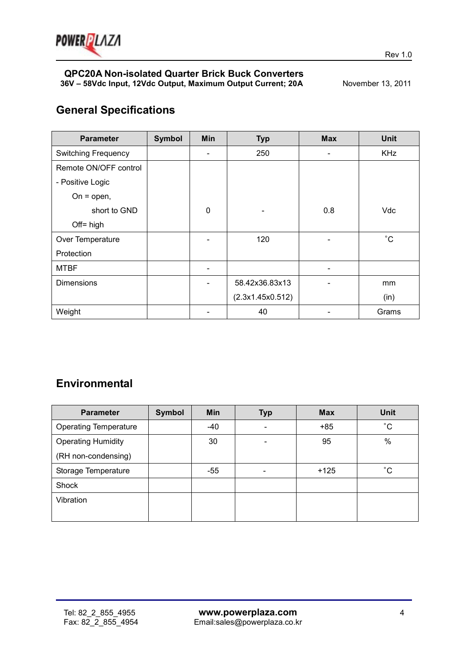

# **General Specifications**

| <b>Parameter</b>           | <b>Symbol</b> | Min | <b>Typ</b>       | <b>Max</b>               | <b>Unit</b> |
|----------------------------|---------------|-----|------------------|--------------------------|-------------|
| <b>Switching Frequency</b> |               |     | 250              | -                        | <b>KHz</b>  |
| Remote ON/OFF control      |               |     |                  |                          |             |
| - Positive Logic           |               |     |                  |                          |             |
| On = $open$ ,              |               |     |                  |                          |             |
| short to GND               |               | 0   |                  | 0.8                      | Vdc         |
| $Off = high$               |               |     |                  |                          |             |
| Over Temperature           |               |     | 120              |                          | $^{\circ}C$ |
| Protection                 |               |     |                  |                          |             |
| <b>MTBF</b>                |               |     |                  | $\overline{\phantom{a}}$ |             |
| <b>Dimensions</b>          |               |     | 58.42x36.83x13   |                          | mm          |
|                            |               |     | (2.3x1.45x0.512) |                          | (in)        |
| Weight                     |               |     | 40               |                          | Grams       |

# **Environmental**

| <b>Parameter</b>             | Symbol | Min   | Typ                      | <b>Max</b> | <b>Unit</b>  |
|------------------------------|--------|-------|--------------------------|------------|--------------|
| <b>Operating Temperature</b> |        | -40   |                          | $+85$      | $^{\circ}C$  |
| <b>Operating Humidity</b>    |        | 30    | $\overline{\phantom{0}}$ | 95         | %            |
| (RH non-condensing)          |        |       |                          |            |              |
| Storage Temperature          |        | $-55$ |                          | $+125$     | $^{\circ}$ C |
| Shock                        |        |       |                          |            |              |
| Vibration                    |        |       |                          |            |              |
|                              |        |       |                          |            |              |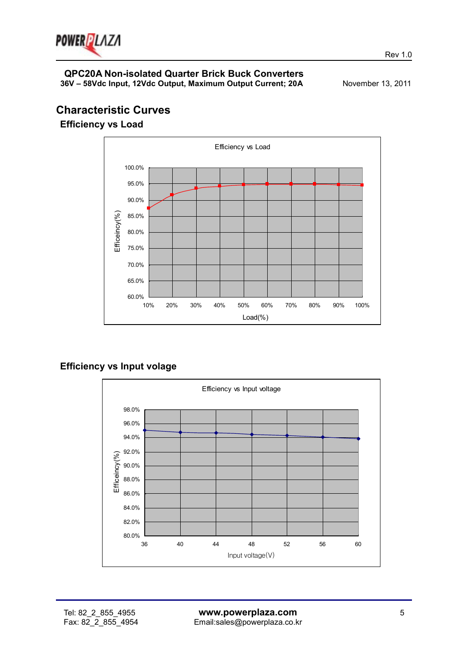

# **Characteristic Curves**

**Efficiency vs Load**



**Efficiency vs Input volage** 

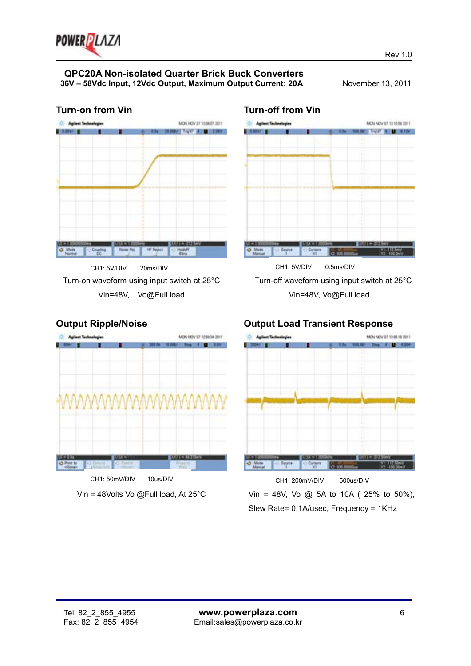

#### **Turn-on from Vin**



Turn-on waveform using input switch at 25°C Vin=48V, Vo@Full load

#### **Turn-off from Vin**



# Turn-off waveform using input switch at 25°C Vin=48V, Vo@Full load

#### **Output Ripple/Noise**



Vin = 48Volts Vo @Full load, At 25°C

#### **Output Load Transient Response**  MONAGY ET 1306 10 2011



Vin = 48V, Vo @ 5A to 10A ( 25% to 50%), Slew Rate= 0.1A/usec, Frequency = 1KHz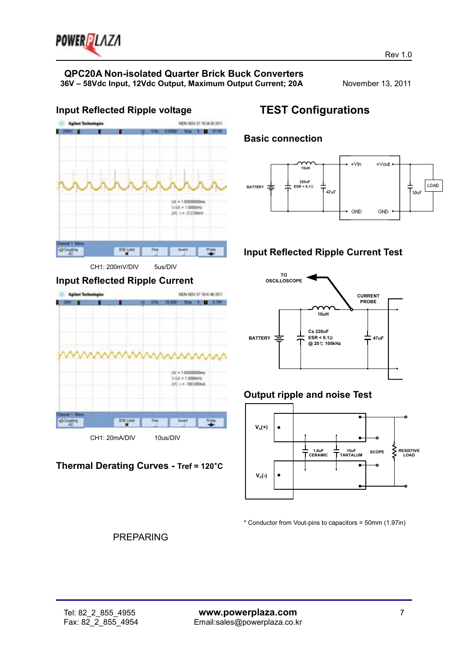

# **QPC20A Non-isolated Quarter Brick Buck Converters**

**36V – 58Vdc Input, 12Vdc Output, Maximum Output Current; 20A** November 13, 2011



#### CH1: 200mV/DIV 5us/DIV

#### **Input Reflected Ripple Current**



#### **Thermal Derating Curves - Tref = 120**°**C**

# **TEST Configurations**

### **Basic connection**



# **Input Reflected Ripple Current Test**



# **Output ripple and noise Test**



\* Conductor from Vout-pins to capacitors = 50mm (1.97in)

#### PREPARING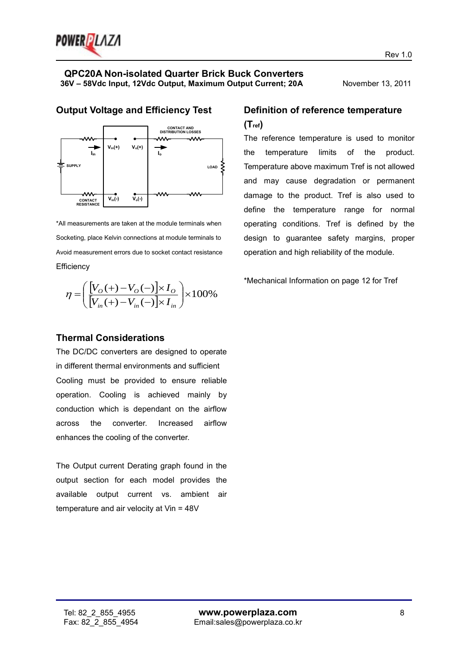



**Output Voltage and Efficiency Test** 

\*All measurements are taken at the module terminals when Socketing, place Kelvin connections at module terminals to Avoid measurement errors due to socket contact resistance **Efficiency** 

$$
\eta = \left(\frac{[V_O(+) - V_O(-)] \times I_O}{[V_{in}(+) - V_{in}(-)] \times I_{in}}\right) \times 100\%
$$

# **Definition of reference temperature (Tref)**

The reference temperature is used to monitor the temperature limits of the product. Temperature above maximum Tref is not allowed and may cause degradation or permanent damage to the product. Tref is also used to define the temperature range for normal operating conditions. Tref is defined by the design to guarantee safety margins, proper operation and high reliability of the module.

\*Mechanical Information on page 12 for Tref

#### **Thermal Considerations**

The DC/DC converters are designed to operate in different thermal environments and sufficient Cooling must be provided to ensure reliable operation. Cooling is achieved mainly by conduction which is dependant on the airflow across the converter. Increased airflow enhances the cooling of the converter.

The Output current Derating graph found in the output section for each model provides the available output current vs. ambient air temperature and air velocity at Vin = 48V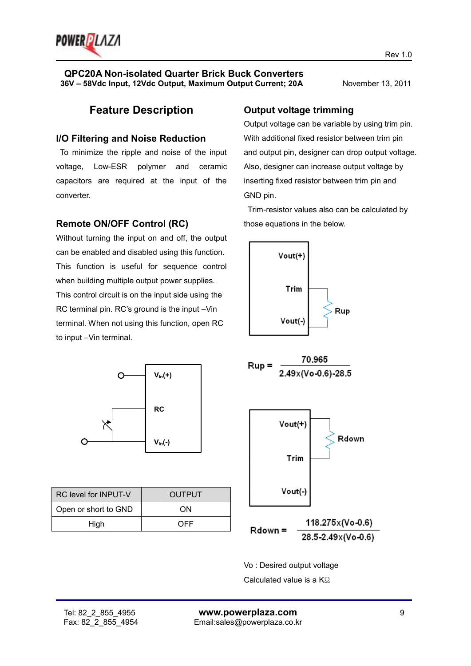

## **Feature Description**

#### **I/O Filtering and Noise Reduction**

 To minimize the ripple and noise of the input voltage, Low-ESR polymer and ceramic capacitors are required at the input of the converter.

#### **Remote ON/OFF Control (RC)**

Without turning the input on and off, the output can be enabled and disabled using this function. This function is useful for sequence control when building multiple output power supplies. This control circuit is on the input side using the RC terminal pin. RC's ground is the input –Vin terminal. When not using this function, open RC to input –Vin terminal.



| <b>RC</b> level for <b>INPUT-V</b> | OUTPUT |
|------------------------------------|--------|
| Open or short to GND               | ON     |
| High                               | OFF    |

#### **Output voltage trimming**

Output voltage can be variable by using trim pin. With additional fixed resistor between trim pin and output pin, designer can drop output voltage. Also, designer can increase output voltage by inserting fixed resistor between trim pin and GND pin.

 Trim-resistor values also can be calculated by those equations in the below.



Rdown = 28.5 2.49x(Vo 0.6)

Vo : Desired output voltage Calculated value is a KΩ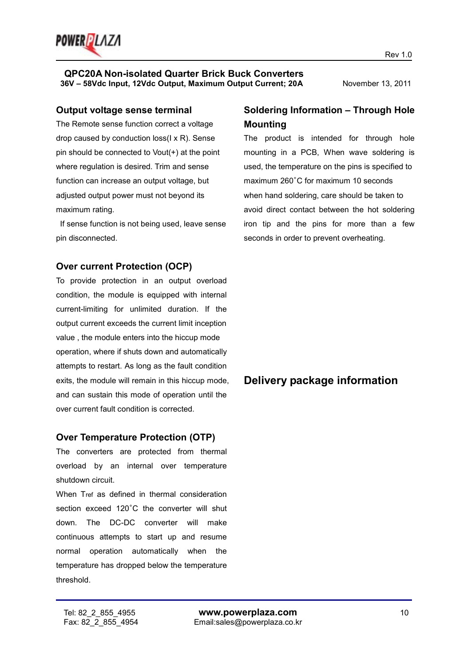

#### **Output voltage sense terminal**

The Remote sense function correct a voltage drop caused by conduction loss(I x R). Sense pin should be connected to Vout(+) at the point where regulation is desired. Trim and sense function can increase an output voltage, but adjusted output power must not beyond its maximum rating.

 If sense function is not being used, leave sense pin disconnected.

#### **Over current Protection (OCP)**

To provide protection in an output overload condition, the module is equipped with internal current-limiting for unlimited duration. If the output current exceeds the current limit inception value , the module enters into the hiccup mode operation, where if shuts down and automatically attempts to restart. As long as the fault condition exits, the module will remain in this hiccup mode, and can sustain this mode of operation until the over current fault condition is corrected.

#### **Over Temperature Protection (OTP)**

The converters are protected from thermal overload by an internal over temperature shutdown circuit.

When Tref as defined in thermal consideration section exceed 120°C the converter will shut down. The DC-DC converter will make continuous attempts to start up and resume normal operation automatically when the temperature has dropped below the temperature threshold.

# **Soldering Information – Through Hole Mounting**

The product is intended for through hole mounting in a PCB, When wave soldering is used, the temperature on the pins is specified to maximum 260°C for maximum 10 seconds when hand soldering, care should be taken to avoid direct contact between the hot soldering iron tip and the pins for more than a few seconds in order to prevent overheating.

# **Delivery package information**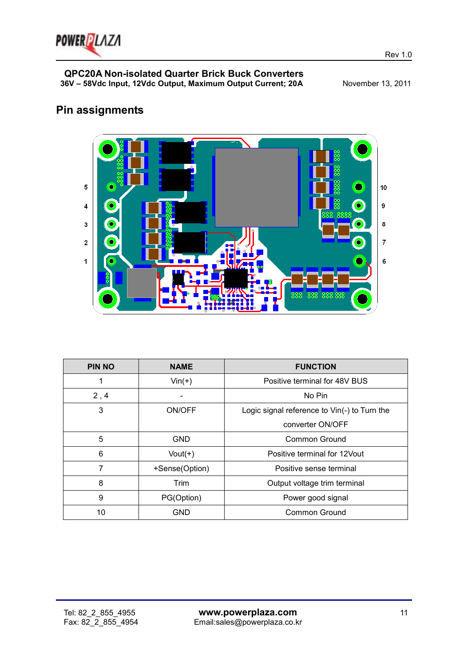

# **Pin assignments**



| <b>PIN NO</b> | <b>NAME</b>    | <b>FUNCTION</b>                              |  |
|---------------|----------------|----------------------------------------------|--|
| 1             | $Vin(+)$       | Positive terminal for 48V BUS                |  |
| 2, 4          |                | No Pin                                       |  |
| 3             | ON/OFF         | Logic signal reference to Vin(-) to Turn the |  |
|               |                | converter ON/OFF                             |  |
| 5             | <b>GND</b>     | Common Ground                                |  |
| 6             | $Vout(+)$      | Positive terminal for 12 Vout                |  |
| 7             | +Sense(Option) | Positive sense terminal                      |  |
| 8             | Trim           | Output voltage trim terminal                 |  |
| 9             | PG(Option)     | Power good signal                            |  |
| 10            | <b>GND</b>     | Common Ground                                |  |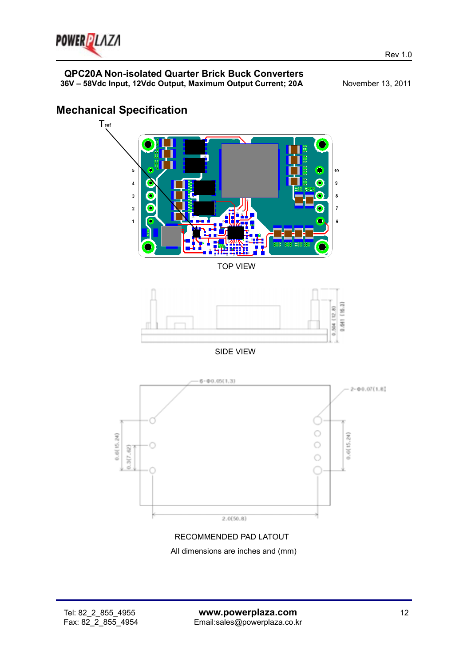

**Mechanical Specification** 

#### **QPC20A Non-isolated Quarter Brick Buck Converters 36V – 58Vdc Input, 12Vdc Output, Maximum Output Current; 20A** November 13, 2011

# **T**<sub>ref</sub>  $\overline{5}$  $10$ Ō  $\overline{\mathbf{4}}$ o 9 3 G  $\overline{c}$ G  $\overline{z}$  $\overline{1}$ 6 TOP VIEW 0.641 (16.3) 504 (12.8) SIDE VIEW  $6 - 0.05(1.3)$  $2 - 0.07(1, 8)$ Ō  $0.6(15.24)$  $0.6(15.24)$ O  $.3(7.62)$  $\circ$  $2.0(50.8)$

# RECOMMENDED PAD LATOUT

All dimensions are inches and (mm)